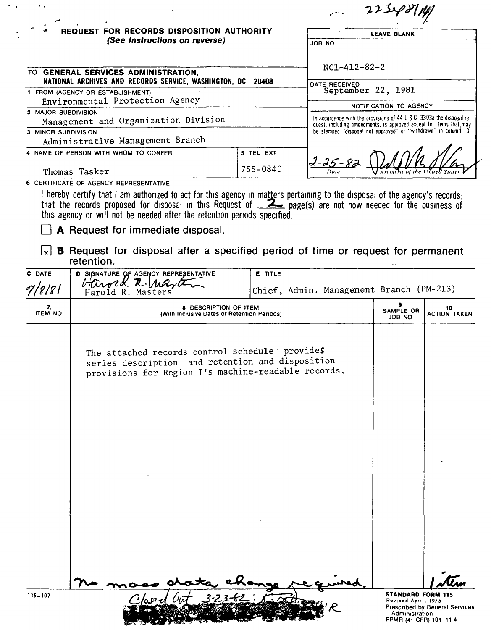| REQUEST FOR RECORDS DISPOSITION AUTHORITY<br>(See Instructions on reverse)                                                                  |                      | <b>LEAVE BLANK</b><br>JOB NO                                                                                                                                                                                       |  |                                                         |                                                                |  |  |
|---------------------------------------------------------------------------------------------------------------------------------------------|----------------------|--------------------------------------------------------------------------------------------------------------------------------------------------------------------------------------------------------------------|--|---------------------------------------------------------|----------------------------------------------------------------|--|--|
| TO GENERAL SERVICES ADMINISTRATION.<br>NATIONAL ARCHIVES AND RECORDS SERVICE, WASHINGTON, DC                                                | $NC1 - 412 - 82 - 2$ |                                                                                                                                                                                                                    |  |                                                         |                                                                |  |  |
| 20408<br>1 FROM (AGENCY OR ESTABLISHMENT)<br>Environmental Protection Agency<br>2 MAJOR SUBDIVISION<br>Management and Organization Division |                      | DATE RECEIVED<br>September 22, 1981<br><b>NOTIFICATION TO AGENCY</b><br>In accordance with the provisions of 44 U S C 3303a the disposal re-<br>quest, including amendments, is approved except for items that may |  |                                                         |                                                                |  |  |
|                                                                                                                                             |                      |                                                                                                                                                                                                                    |  | 3 MINOR SUBDIVISION<br>Administrative Management Branch | be stamped "disposal not approved" or "withdrawn" in column 10 |  |  |
|                                                                                                                                             |                      |                                                                                                                                                                                                                    |  | 4 NAME OF PERSON WITH WHOM TO CONFER                    | 5 TEL EXT                                                      |  |  |
| Thomas Tasker                                                                                                                               | 755-0840             | 2-25-82<br>Archivist of the United State<br>Date                                                                                                                                                                   |  |                                                         |                                                                |  |  |

this agency or will not be needed after the retention periods specified.<br>This agency or will not be needed after the retention periods specified.

A Request for immediate disposal.

 $\mathcal{L}_{\text{max}}$ 

 $\boxed{\mathbf{x}}$  **B** Request for disposal after a specified period of time or request for permanent retention.

| C DATE               | D SIGNATURE OF AGENCY REPRESENTATIVE                                                                                                                      | E TITLE                                  |                                                                                             |                                |
|----------------------|-----------------------------------------------------------------------------------------------------------------------------------------------------------|------------------------------------------|---------------------------------------------------------------------------------------------|--------------------------------|
| 7/8/81               | Harold R. Marte<br>Harold R. Masters                                                                                                                      | Chief, Admin. Management Branch (PM-213) |                                                                                             |                                |
| 7.<br><b>ITEM NO</b> | <b>8 DESCRIPTION OF ITEM</b><br>(With Inclusive Dates or Retention Periods)                                                                               |                                          |                                                                                             | 10<br><b>ACTION TAKEN</b>      |
|                      | The attached records control schedule provides<br>series description and retention and disposition<br>provisions for Region I's machine-readable records. |                                          |                                                                                             |                                |
|                      |                                                                                                                                                           |                                          |                                                                                             |                                |
|                      |                                                                                                                                                           |                                          |                                                                                             |                                |
| 115-107              |                                                                                                                                                           |                                          | <b>STANDARD FORM 115</b><br>Revised April, 1975<br>Administration<br>FPMR (41 CFR) 101-11 4 | Prescribed by General Services |